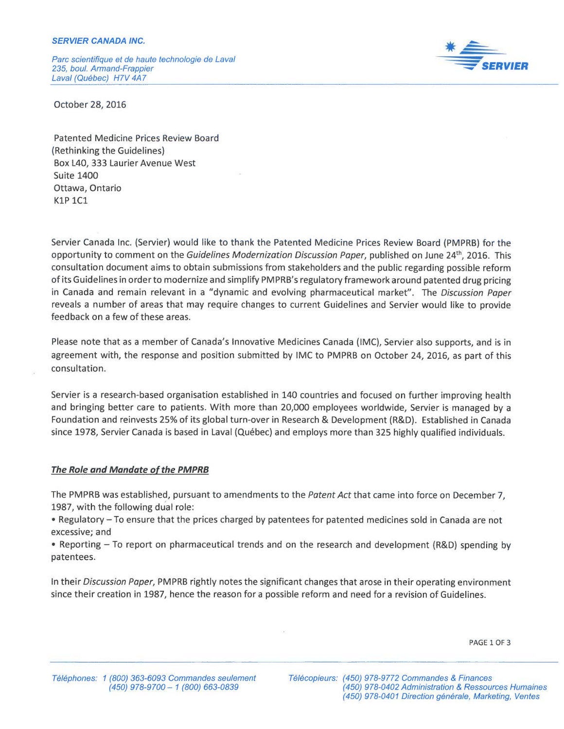Parc scientifique et de haute technologie de Laval 235, bout. Armand-Frappier Laval (Québec) H7V 4A7



October 28, 2016

Patented Medicine Prices Review Board (Rethinking the Guidelines) Box L40, 333 Laurier Avenue West Suite 1400 Ottawa, Ontario K1P 1C1

Seruier Canada Inc. (Servier) would like to thank the Patented Medicine Prices Review Board (PMPRB) for the opportunity to comment on the Guidelines Modernization Discussion Paper, published on June 24<sup>th</sup>, 2016. This consultation document aims to obtain submissions from stakeholders and the public regarding possible reform of its Guidelines in order to modernize and simplify PMPRB's regulatory framework around patented drug pricing in Canada and remain relevant in a "dynamic and evolving pharmaceutical market". The Discussion Paper reveals a number of areas that may require changes to current Guidelines and Servier would like to provide feedback on a few of these areas.

Please note that as a member of Canada's Innovative Medicines Canada (IMC), Servier also supports, and is in agreement with, the response and position submitted by IMC to PMPRB on October 24, 2016, as part of this consultation.

Servier is a research-based organisation established in 140 countries and focused on further improving health and bringing better care to patients. With mare than 20,000 employees worldwide, Servier is managed by a Foundation and reinvests 25% of its global turn-over in Research & Development (R&D). Established in Canada since 1978, Servier Canada is based in Laval (Québec) and employs more than 325 highly qualified individuals.

# The Role and Mandate of the PMPRB

The PMPRB was established, pursuant to amendments to the Patent Act that came into force on December 7, 1987, with the following dual role:

• Regulatory—To ensure that the prices charged by patentees for patented medicines sold in Canada are not excessive; and

• Reporting – To report on pharmaceutical trends and on the research and development (R&D) spending by patentees.

In their Discussion Paper, PMPRB rightly notes the significant changes that arose in their operating environment since their creation in 1987, hence the reason for a possible reform and need for a revision of Guidelines.

PAGE 1 OF 3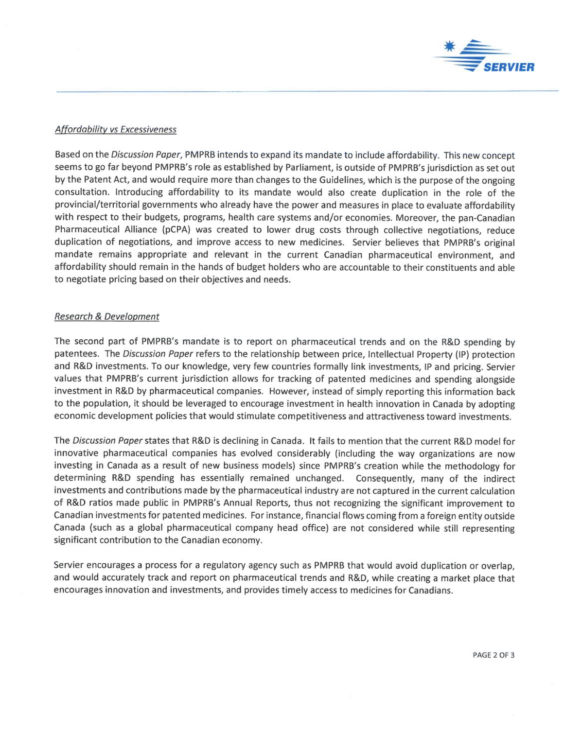

### Affordability vs Excessiveness

Based on the Discussion Paper, PMPRB intends to expand its mandate to include affordability. This new concept seems to go far beyond PMPRB's role as established by Parliament, is outside of PMPRB's jurisdiction as set out by the Patent Act, and would require more than changes to the Guidelines, which is the purpose of the ongoing consultation. Introducing affordability to its mandate would also create duplication in the role of the provincial/territorial governments who already have the power and measures in place to evaluate affordability with respect to their budgets, programs, health care systems and/or economies. Moreover, the pan-Canadian Pharmaceutical Alliance (pCPA) was created to lower drug costs through collective negotiations, reduce duplication of negotiations, and improve access to new medicines. Servier believes that PMPRB's original mandate remains appropriate and relevant in the current Canadian pharmaceutical environment, and affordability should remain in the hands of budget holders who are accountable to their constituents and able to negotiate pricing based an their objectives and needs.

#### Research & Development

The second part of PMPRB's mandate is to report on pharmaceutical trends and on the R&D spending by patentees. The Discussion Paper refers to the relationship between price, Intellectual Property (IP) protection and R&D investments. To our knowledge, very few countries formally link investments, IP and pricing. Servier values that PMPRB's current jurisdiction allows for tracking of patented medicines and spending alongside investment in R&D by pharmaceutical companies. However, instead of simply reporting this information back to the population, it should be leveraged to encourage investment in health innovation in Canada by adopting economic development policies that would stimulate competitiveness and attractiveness toward investments.

The Discussion Paper states that R&D is declining in Canada. It fails to mention that the current R&D model for innovative pharmaceutical companies has evolved considerably (including the way organizations are now investing in Canada as a result of new business models) since PMPRB's creation while the methodology for determining R&D spending has essentially remained unchanged. Consequently, many of the indirect investments and contributions made by the pharmaceutical industry are not captured in the current calculation of R&D ratios made public in PMPRB's Annual Reports, thus not recognizing the significant improvement to Canadian investments for patented medicines. For instance, financial flows coming from a foreign entity outside Canada (such as a global pharmaceutical company head office) are not considered while still representing significant contribution to the Canadian economy.

Servier encourages a process for a regulatory agency such as PMPRB that would avoid duplication or overlap, and would accurately track and report on pharmaceutical trends and R&D, while creating a market place that encourages innovation and investments, and provides timely access to medicines for Canadians.